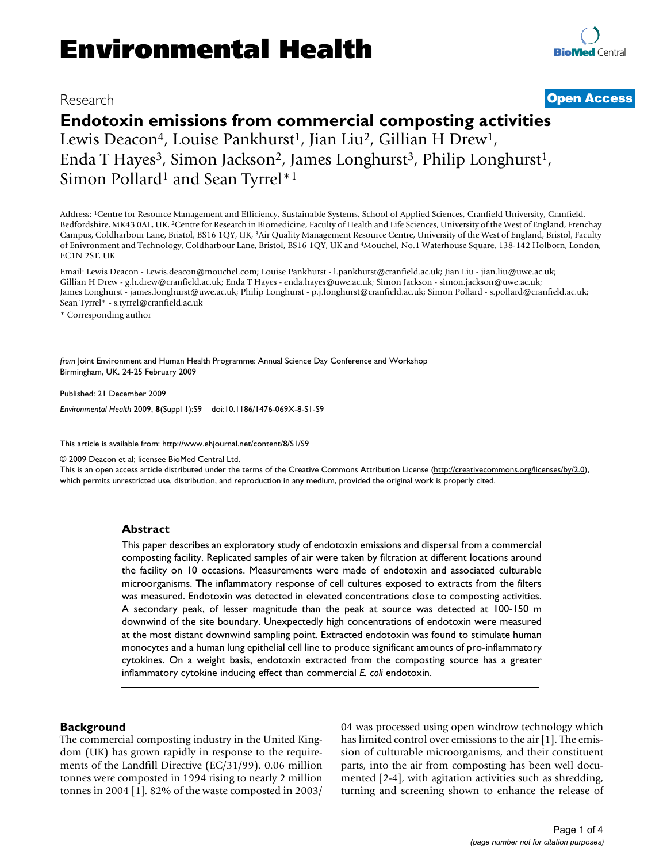# Research **[Open Access](http://www.biomedcentral.com/info/about/charter/)**

# **Endotoxin emissions from commercial composting activities**

Lewis Deacon<sup>4</sup>, Louise Pankhurst<sup>1</sup>, Jian Liu<sup>2</sup>, Gillian H Drew<sup>1</sup>, Enda T Hayes<sup>3</sup>, Simon Jackson<sup>2</sup>, James Longhurst<sup>3</sup>, Philip Longhurst<sup>1</sup>, Simon Pollard<sup>1</sup> and Sean Tyrrel\*<sup>1</sup>

Address: 1Centre for Resource Management and Efficiency, Sustainable Systems, School of Applied Sciences, Cranfield University, Cranfield, Bedfordshire, MK43 0AL, UK, 2Centre for Research in Biomedicine, Faculty of Health and Life Sciences, University of the West of England, Frenchay Campus, Coldharbour Lane, Bristol, BS16 1QY, UK, 3Air Quality Management Resource Centre, University of the West of England, Bristol, Faculty of Enivronment and Technology, Coldharbour Lane, Bristol, BS16 1QY, UK and 4Mouchel, No.1 Waterhouse Square, 138-142 Holborn, London, EC1N 2ST, UK

Email: Lewis Deacon - Lewis.deacon@mouchel.com; Louise Pankhurst - l.pankhurst@cranfield.ac.uk; Jian Liu - jian.liu@uwe.ac.uk; Gillian H Drew - g.h.drew@cranfield.ac.uk; Enda T Hayes - enda.hayes@uwe.ac.uk; Simon Jackson - simon.jackson@uwe.ac.uk; James Longhurst - james.longhurst@uwe.ac.uk; Philip Longhurst - p.j.longhurst@cranfield.ac.uk; Simon Pollard - s.pollard@cranfield.ac.uk; Sean Tyrrel\* - s.tyrrel@cranfield.ac.uk

\* Corresponding author

*from* Joint Environment and Human Health Programme: Annual Science Day Conference and Workshop Birmingham, UK. 24-25 February 2009

Published: 21 December 2009

*Environmental Health* 2009, **8**(Suppl 1):S9 doi:10.1186/1476-069X-8-S1-S9

[This article is available from: http://www.ehjournal.net/content/8/S1/S9](http://www.ehjournal.net/content/8/S1/S9)

© 2009 Deacon et al; licensee BioMed Central Ltd.

This is an open access article distributed under the terms of the Creative Commons Attribution License [\(http://creativecommons.org/licenses/by/2.0\)](http://creativecommons.org/licenses/by/2.0), which permits unrestricted use, distribution, and reproduction in any medium, provided the original work is properly cited.

#### **Abstract**

This paper describes an exploratory study of endotoxin emissions and dispersal from a commercial composting facility. Replicated samples of air were taken by filtration at different locations around the facility on 10 occasions. Measurements were made of endotoxin and associated culturable microorganisms. The inflammatory response of cell cultures exposed to extracts from the filters was measured. Endotoxin was detected in elevated concentrations close to composting activities. A secondary peak, of lesser magnitude than the peak at source was detected at 100-150 m downwind of the site boundary. Unexpectedly high concentrations of endotoxin were measured at the most distant downwind sampling point. Extracted endotoxin was found to stimulate human monocytes and a human lung epithelial cell line to produce significant amounts of pro-inflammatory cytokines. On a weight basis, endotoxin extracted from the composting source has a greater inflammatory cytokine inducing effect than commercial *E. coli* endotoxin.

## **Background**

The commercial composting industry in the United Kingdom (UK) has grown rapidly in response to the requirements of the Landfill Directive (EC/31/99). 0.06 million tonnes were composted in 1994 rising to nearly 2 million tonnes in 2004 [1]. 82% of the waste composted in 2003/ 04 was processed using open windrow technology which has limited control over emissions to the air [1]. The emission of culturable microorganisms, and their constituent parts, into the air from composting has been well documented [2-4], with agitation activities such as shredding, turning and screening shown to enhance the release of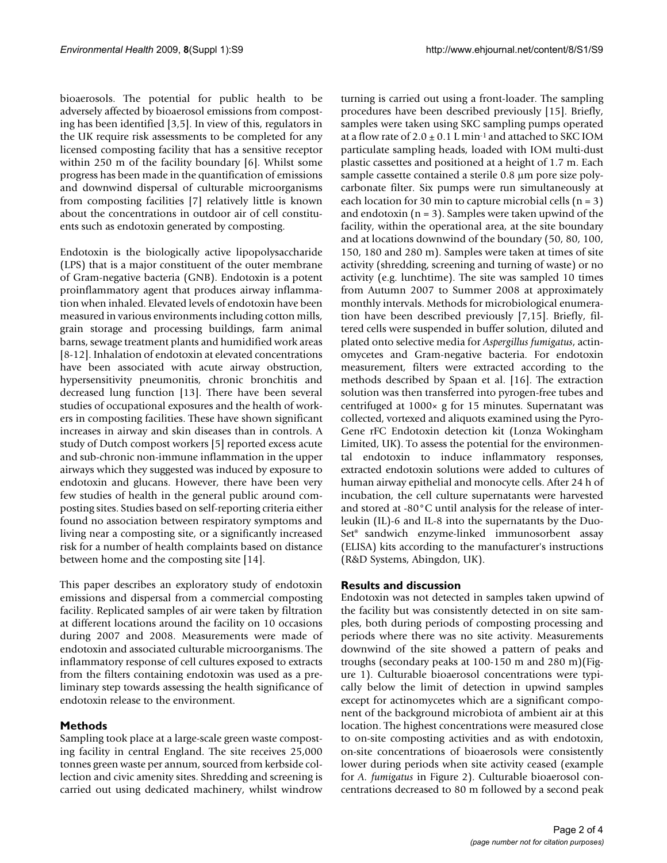bioaerosols. The potential for public health to be adversely affected by bioaerosol emissions from composting has been identified [3,5]. In view of this, regulators in the UK require risk assessments to be completed for any licensed composting facility that has a sensitive receptor within 250 m of the facility boundary [6]. Whilst some progress has been made in the quantification of emissions and downwind dispersal of culturable microorganisms from composting facilities [7] relatively little is known about the concentrations in outdoor air of cell constituents such as endotoxin generated by composting.

Endotoxin is the biologically active lipopolysaccharide (LPS) that is a major constituent of the outer membrane of Gram-negative bacteria (GNB). Endotoxin is a potent proinflammatory agent that produces airway inflammation when inhaled. Elevated levels of endotoxin have been measured in various environments including cotton mills, grain storage and processing buildings, farm animal barns, sewage treatment plants and humidified work areas [8-12]. Inhalation of endotoxin at elevated concentrations have been associated with acute airway obstruction, hypersensitivity pneumonitis, chronic bronchitis and decreased lung function [13]. There have been several studies of occupational exposures and the health of workers in composting facilities. These have shown significant increases in airway and skin diseases than in controls. A study of Dutch compost workers [5] reported excess acute and sub-chronic non-immune inflammation in the upper airways which they suggested was induced by exposure to endotoxin and glucans. However, there have been very few studies of health in the general public around composting sites. Studies based on self-reporting criteria either found no association between respiratory symptoms and living near a composting site, or a significantly increased risk for a number of health complaints based on distance between home and the composting site [14].

This paper describes an exploratory study of endotoxin emissions and dispersal from a commercial composting facility. Replicated samples of air were taken by filtration at different locations around the facility on 10 occasions during 2007 and 2008. Measurements were made of endotoxin and associated culturable microorganisms. The inflammatory response of cell cultures exposed to extracts from the filters containing endotoxin was used as a preliminary step towards assessing the health significance of endotoxin release to the environment.

# **Methods**

Sampling took place at a large-scale green waste composting facility in central England. The site receives 25,000 tonnes green waste per annum, sourced from kerbside collection and civic amenity sites. Shredding and screening is carried out using dedicated machinery, whilst windrow

turning is carried out using a front-loader. The sampling procedures have been described previously [15]. Briefly, samples were taken using SKC sampling pumps operated at a flow rate of  $2.0 \pm 0.1$  L min<sup>-1</sup> and attached to SKC IOM particulate sampling heads, loaded with IOM multi-dust plastic cassettes and positioned at a height of 1.7 m. Each sample cassette contained a sterile 0.8 μm pore size polycarbonate filter. Six pumps were run simultaneously at each location for 30 min to capture microbial cells  $(n = 3)$ and endotoxin  $(n = 3)$ . Samples were taken upwind of the facility, within the operational area, at the site boundary and at locations downwind of the boundary (50, 80, 100, 150, 180 and 280 m). Samples were taken at times of site activity (shredding, screening and turning of waste) or no activity (e.g. lunchtime). The site was sampled 10 times from Autumn 2007 to Summer 2008 at approximately monthly intervals. Methods for microbiological enumeration have been described previously [7,15]. Briefly, filtered cells were suspended in buffer solution, diluted and plated onto selective media for *Aspergillus fumigatus*, actinomycetes and Gram-negative bacteria. For endotoxin measurement, filters were extracted according to the methods described by Spaan et al. [16]. The extraction solution was then transferred into pyrogen-free tubes and centrifuged at 1000× g for 15 minutes. Supernatant was collected, vortexed and aliquots examined using the Pyro-Gene rFC Endotoxin detection kit (Lonza Wokingham Limited, UK). To assess the potential for the environmental endotoxin to induce inflammatory responses, extracted endotoxin solutions were added to cultures of human airway epithelial and monocyte cells. After 24 h of incubation, the cell culture supernatants were harvested and stored at -80°C until analysis for the release of interleukin (IL)-6 and IL-8 into the supernatants by the Duo-Set® sandwich enzyme-linked immunosorbent assay (ELISA) kits according to the manufacturer's instructions (R&D Systems, Abingdon, UK).

## **Results and discussion**

Endotoxin was not detected in samples taken upwind of the facility but was consistently detected in on site samples, both during periods of composting processing and periods where there was no site activity. Measurements downwind of the site showed a pattern of peaks and troughs (secondary peaks at 100-150 m and 280 m)(Figure 1). Culturable bioaerosol concentrations were typically below the limit of detection in upwind samples except for actinomycetes which are a significant component of the background microbiota of ambient air at this location. The highest concentrations were measured close to on-site composting activities and as with endotoxin, on-site concentrations of bioaerosols were consistently lower during periods when site activity ceased (example for *A. fumigatus* in Figure 2). Culturable bioaerosol concentrations decreased to 80 m followed by a second peak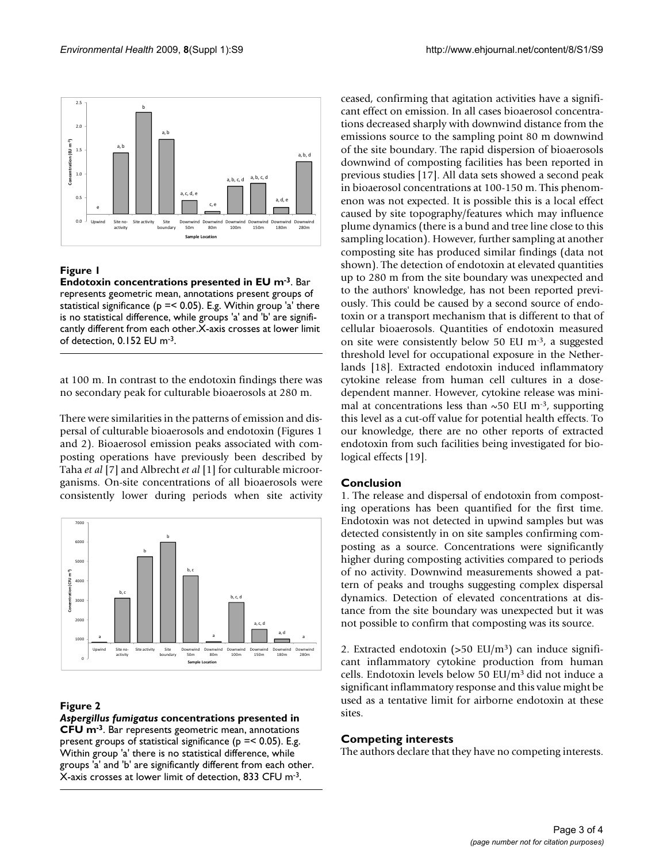

# **Figure 1**

**Endotoxin concentrations presented in EU m-3**. Bar represents geometric mean, annotations present groups of statistical significance (p =< 0.05). E.g. Within group 'a' there is no statistical difference, while groups 'a' and 'b' are significantly different from each other.X-axis crosses at lower limit of detection, 0.152 EU m-3.

at 100 m. In contrast to the endotoxin findings there was no secondary peak for culturable bioaerosols at 280 m.

There were similarities in the patterns of emission and dispersal of culturable bioaerosols and endotoxin (Figures 1 and 2). Bioaerosol emission peaks associated with composting operations have previously been described by Taha *et al* [7] and Albrecht *et al* [1] for culturable microorganisms. On-site concentrations of all bioaerosols were consistently lower during periods when site activity



# **Figure 2**

*Aspergillus fumigatus* **concentrations presented in CFU m-3**. Bar represents geometric mean, annotations present groups of statistical significance ( $p = 0.05$ ). E.g. Within group 'a' there is no statistical difference, while groups 'a' and 'b' are significantly different from each other. X-axis crosses at lower limit of detection, 833 CFU m-3.

ceased, confirming that agitation activities have a significant effect on emission. In all cases bioaerosol concentrations decreased sharply with downwind distance from the emissions source to the sampling point 80 m downwind of the site boundary. The rapid dispersion of bioaerosols downwind of composting facilities has been reported in previous studies [17]. All data sets showed a second peak in bioaerosol concentrations at 100-150 m. This phenomenon was not expected. It is possible this is a local effect caused by site topography/features which may influence plume dynamics (there is a bund and tree line close to this sampling location). However, further sampling at another composting site has produced similar findings (data not shown). The detection of endotoxin at elevated quantities up to 280 m from the site boundary was unexpected and to the authors' knowledge, has not been reported previously. This could be caused by a second source of endotoxin or a transport mechanism that is different to that of cellular bioaerosols. Quantities of endotoxin measured on site were consistently below 50 EU m-3, a suggested threshold level for occupational exposure in the Netherlands [18]. Extracted endotoxin induced inflammatory cytokine release from human cell cultures in a dosedependent manner. However, cytokine release was minimal at concentrations less than  $\sim$  50 EU m<sup>-3</sup>, supporting this level as a cut-off value for potential health effects. To our knowledge, there are no other reports of extracted endotoxin from such facilities being investigated for biological effects [19].

# **Conclusion**

1. The release and dispersal of endotoxin from composting operations has been quantified for the first time. Endotoxin was not detected in upwind samples but was detected consistently in on site samples confirming composting as a source. Concentrations were significantly higher during composting activities compared to periods of no activity. Downwind measurements showed a pattern of peaks and troughs suggesting complex dispersal dynamics. Detection of elevated concentrations at distance from the site boundary was unexpected but it was not possible to confirm that composting was its source.

2. Extracted endotoxin  $(>50 \text{ EU/m}^3)$  can induce significant inflammatory cytokine production from human cells. Endotoxin levels below 50 EU/m3 did not induce a significant inflammatory response and this value might be used as a tentative limit for airborne endotoxin at these sites.

# **Competing interests**

The authors declare that they have no competing interests.